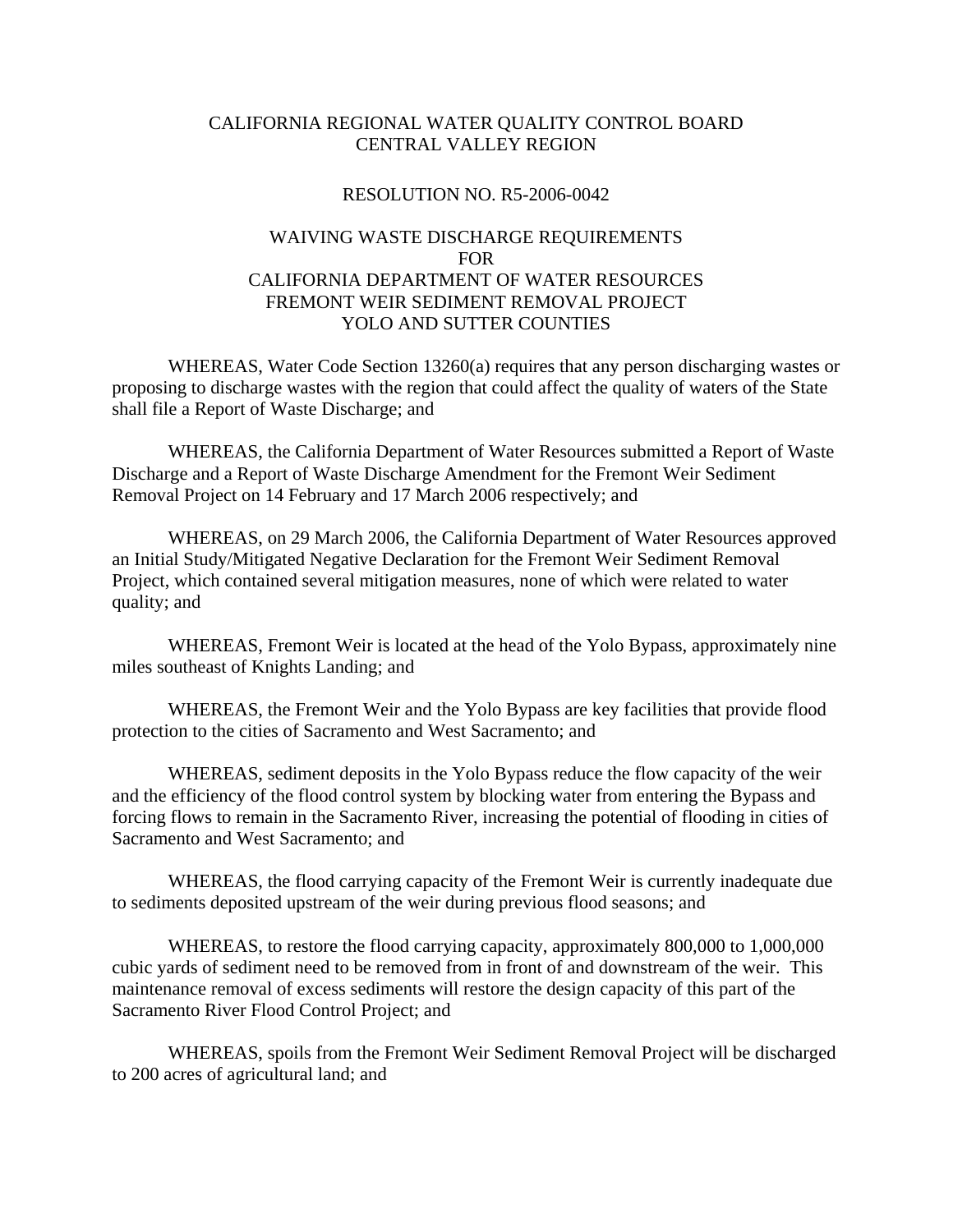## CALIFORNIA REGIONAL WATER QUALITY CONTROL BOARD CENTRAL VALLEY REGION

## RESOLUTION NO. R5-2006-0042

## WAIVING WASTE DISCHARGE REQUIREMENTS FOR CALIFORNIA DEPARTMENT OF WATER RESOURCES FREMONT WEIR SEDIMENT REMOVAL PROJECT YOLO AND SUTTER COUNTIES

 WHEREAS, Water Code Section 13260(a) requires that any person discharging wastes or proposing to discharge wastes with the region that could affect the quality of waters of the State shall file a Report of Waste Discharge; and

 WHEREAS, the California Department of Water Resources submitted a Report of Waste Discharge and a Report of Waste Discharge Amendment for the Fremont Weir Sediment Removal Project on 14 February and 17 March 2006 respectively; and

 WHEREAS, on 29 March 2006, the California Department of Water Resources approved an Initial Study/Mitigated Negative Declaration for the Fremont Weir Sediment Removal Project, which contained several mitigation measures, none of which were related to water quality; and

 WHEREAS, Fremont Weir is located at the head of the Yolo Bypass, approximately nine miles southeast of Knights Landing; and

 WHEREAS, the Fremont Weir and the Yolo Bypass are key facilities that provide flood protection to the cities of Sacramento and West Sacramento; and

 WHEREAS, sediment deposits in the Yolo Bypass reduce the flow capacity of the weir and the efficiency of the flood control system by blocking water from entering the Bypass and forcing flows to remain in the Sacramento River, increasing the potential of flooding in cities of Sacramento and West Sacramento; and

 WHEREAS, the flood carrying capacity of the Fremont Weir is currently inadequate due to sediments deposited upstream of the weir during previous flood seasons; and

 WHEREAS, to restore the flood carrying capacity, approximately 800,000 to 1,000,000 cubic yards of sediment need to be removed from in front of and downstream of the weir. This maintenance removal of excess sediments will restore the design capacity of this part of the Sacramento River Flood Control Project; and

 WHEREAS, spoils from the Fremont Weir Sediment Removal Project will be discharged to 200 acres of agricultural land; and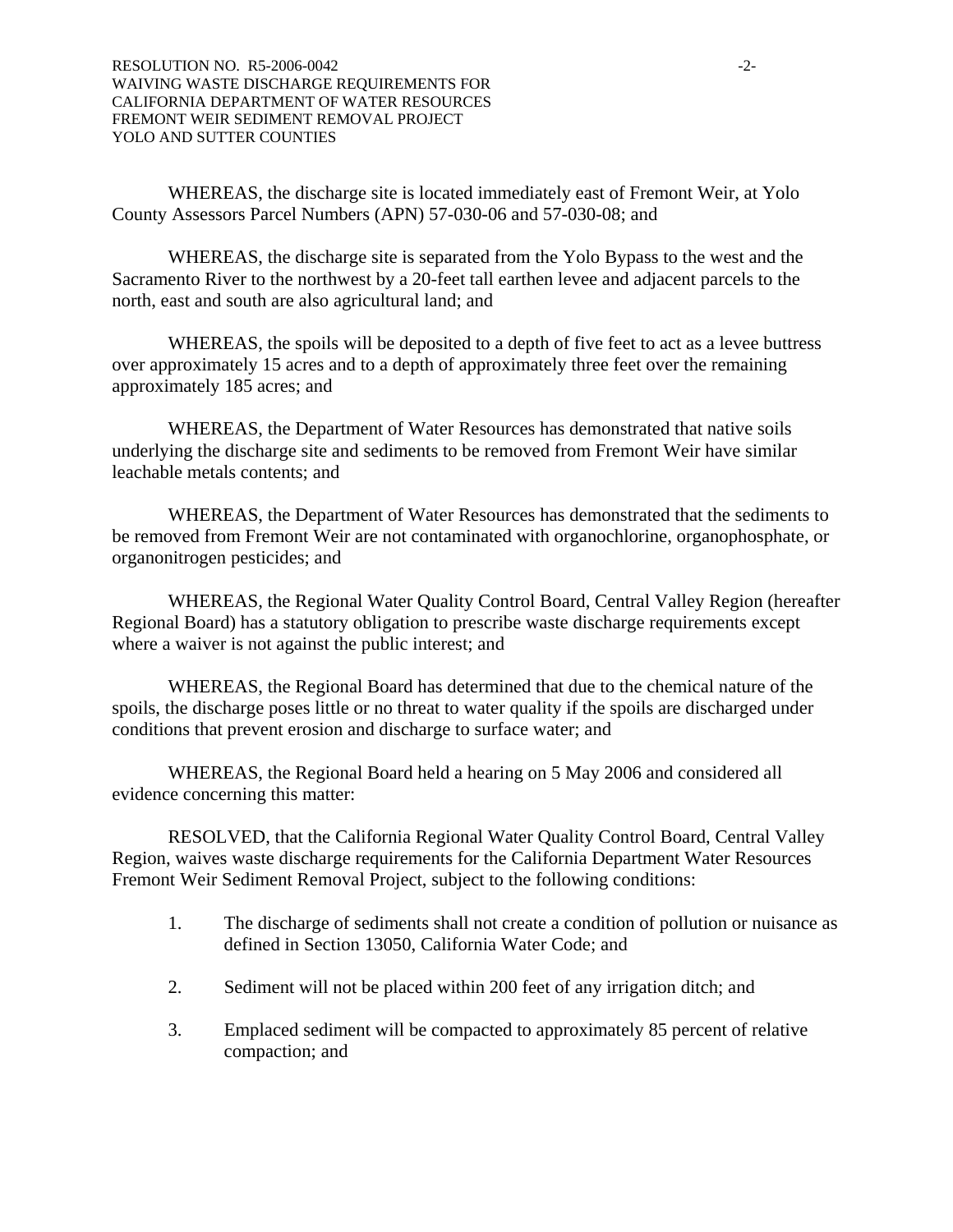WHEREAS, the discharge site is located immediately east of Fremont Weir, at Yolo County Assessors Parcel Numbers (APN) 57-030-06 and 57-030-08; and

 WHEREAS, the discharge site is separated from the Yolo Bypass to the west and the Sacramento River to the northwest by a 20-feet tall earthen levee and adjacent parcels to the north, east and south are also agricultural land; and

WHEREAS, the spoils will be deposited to a depth of five feet to act as a levee buttress over approximately 15 acres and to a depth of approximately three feet over the remaining approximately 185 acres; and

 WHEREAS, the Department of Water Resources has demonstrated that native soils underlying the discharge site and sediments to be removed from Fremont Weir have similar leachable metals contents; and

 WHEREAS, the Department of Water Resources has demonstrated that the sediments to be removed from Fremont Weir are not contaminated with organochlorine, organophosphate, or organonitrogen pesticides; and

 WHEREAS, the Regional Water Quality Control Board, Central Valley Region (hereafter Regional Board) has a statutory obligation to prescribe waste discharge requirements except where a waiver is not against the public interest; and

 WHEREAS, the Regional Board has determined that due to the chemical nature of the spoils, the discharge poses little or no threat to water quality if the spoils are discharged under conditions that prevent erosion and discharge to surface water; and

 WHEREAS, the Regional Board held a hearing on 5 May 2006 and considered all evidence concerning this matter:

 RESOLVED, that the California Regional Water Quality Control Board, Central Valley Region, waives waste discharge requirements for the California Department Water Resources Fremont Weir Sediment Removal Project, subject to the following conditions:

- 1. The discharge of sediments shall not create a condition of pollution or nuisance as defined in Section 13050, California Water Code; and
- 2. Sediment will not be placed within 200 feet of any irrigation ditch; and
- 3. Emplaced sediment will be compacted to approximately 85 percent of relative compaction; and